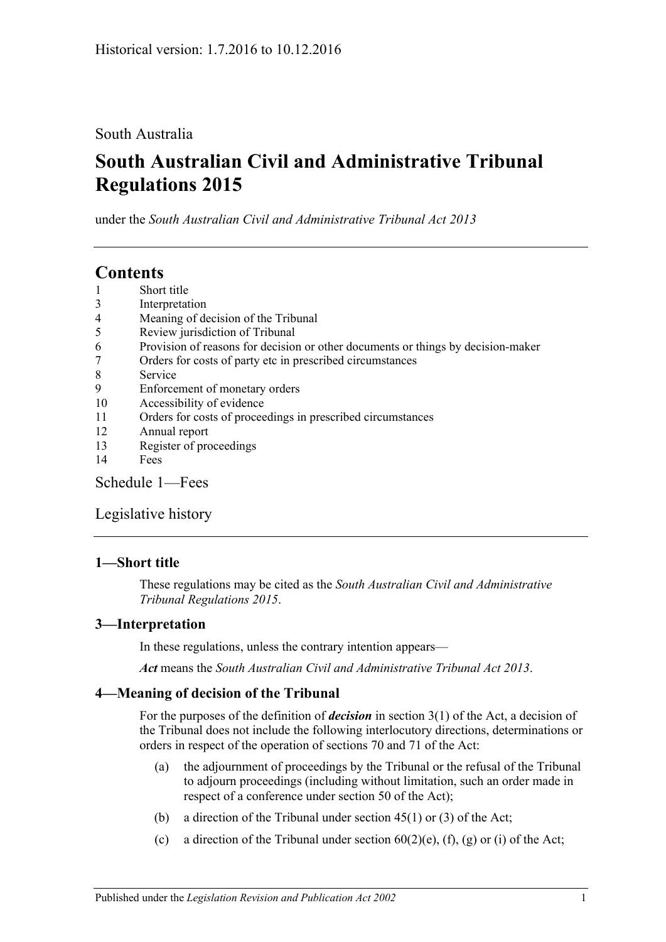## South Australia

# **South Australian Civil and Administrative Tribunal Regulations 2015**

under the *South Australian Civil and Administrative Tribunal Act 2013*

## **Contents**

- 1 [Short title](#page-0-0)
- 3 [Interpretation](#page-0-1)
- 4 [Meaning of decision of the Tribunal](#page-0-2)
- 5 [Review jurisdiction of Tribunal](#page-1-0)
- 6 [Provision of reasons for decision or other documents or things by decision-maker](#page-2-0)
- 7 [Orders for costs of party etc in prescribed circumstances](#page-2-1)
- 8 [Service](#page-2-2)
- 9 [Enforcement of monetary orders](#page-3-0)
- 10 [Accessibility of evidence](#page-3-1)
- 11 [Orders for costs of proceedings in prescribed circumstances](#page-4-0)
- 12 [Annual report](#page-4-1)
- 13 [Register of proceedings](#page-5-0)
- 14 [Fees](#page-5-1)

[Schedule](#page-7-0) 1—Fees

[Legislative history](#page-9-0)

## <span id="page-0-0"></span>**1—Short title**

These regulations may be cited as the *South Australian Civil and Administrative Tribunal Regulations 2015*.

## <span id="page-0-1"></span>**3—Interpretation**

In these regulations, unless the contrary intention appears—

*Act* means the *[South Australian Civil and Administrative Tribunal Act](http://www.legislation.sa.gov.au/index.aspx?action=legref&type=act&legtitle=South%20Australian%20Civil%20and%20Administrative%20Tribunal%20Act%202013) 2013*.

## <span id="page-0-2"></span>**4—Meaning of decision of the Tribunal**

For the purposes of the definition of *decision* in section 3(1) of the Act, a decision of the Tribunal does not include the following interlocutory directions, determinations or orders in respect of the operation of sections 70 and 71 of the Act:

- (a) the adjournment of proceedings by the Tribunal or the refusal of the Tribunal to adjourn proceedings (including without limitation, such an order made in respect of a conference under section 50 of the Act);
- (b) a direction of the Tribunal under section  $45(1)$  or  $(3)$  of the Act;
- (c) a direction of the Tribunal under section  $60(2)$ (e), (f), (g) or (i) of the Act;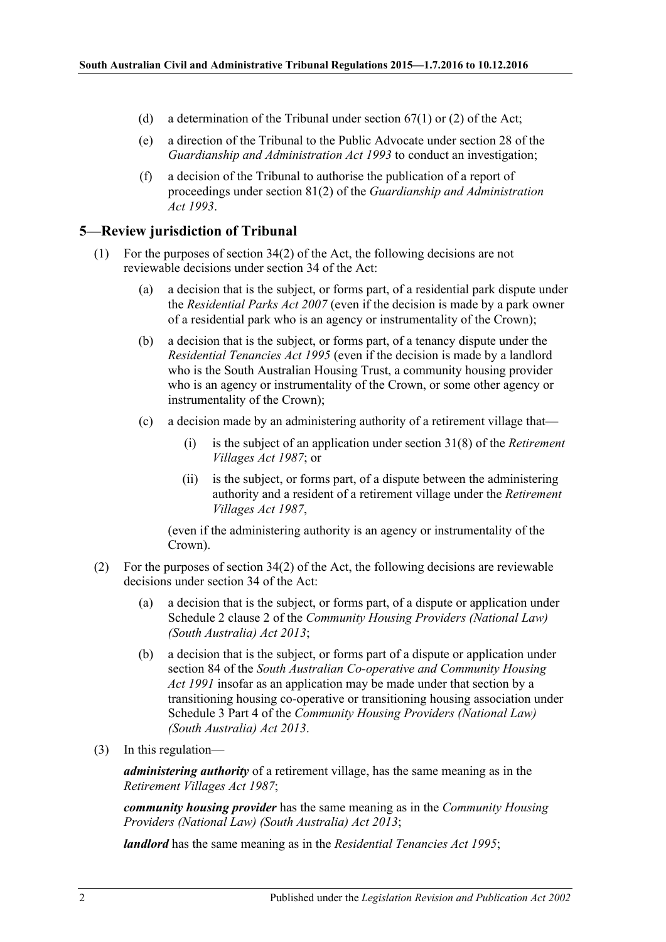- (d) a determination of the Tribunal under section  $67(1)$  or (2) of the Act;
- (e) a direction of the Tribunal to the Public Advocate under section 28 of the *[Guardianship and Administration Act](http://www.legislation.sa.gov.au/index.aspx?action=legref&type=act&legtitle=Guardianship%20and%20Administration%20Act%201993) 1993* to conduct an investigation;
- (f) a decision of the Tribunal to authorise the publication of a report of proceedings under section 81(2) of the *[Guardianship and Administration](http://www.legislation.sa.gov.au/index.aspx?action=legref&type=act&legtitle=Guardianship%20and%20Administration%20Act%201993)  Act [1993](http://www.legislation.sa.gov.au/index.aspx?action=legref&type=act&legtitle=Guardianship%20and%20Administration%20Act%201993)*.

#### <span id="page-1-0"></span>**5—Review jurisdiction of Tribunal**

- (1) For the purposes of section 34(2) of the Act, the following decisions are not reviewable decisions under section 34 of the Act:
	- (a) a decision that is the subject, or forms part, of a residential park dispute under the *[Residential Parks Act](http://www.legislation.sa.gov.au/index.aspx?action=legref&type=act&legtitle=Residential%20Parks%20Act%202007) 2007* (even if the decision is made by a park owner of a residential park who is an agency or instrumentality of the Crown);
	- (b) a decision that is the subject, or forms part, of a tenancy dispute under the *[Residential Tenancies Act](http://www.legislation.sa.gov.au/index.aspx?action=legref&type=act&legtitle=Residential%20Tenancies%20Act%201995) 1995* (even if the decision is made by a landlord who is the South Australian Housing Trust, a community housing provider who is an agency or instrumentality of the Crown, or some other agency or instrumentality of the Crown);
	- (c) a decision made by an administering authority of a retirement village that—
		- (i) is the subject of an application under section 31(8) of the *[Retirement](http://www.legislation.sa.gov.au/index.aspx?action=legref&type=act&legtitle=Retirement%20Villages%20Act%201987)  [Villages Act](http://www.legislation.sa.gov.au/index.aspx?action=legref&type=act&legtitle=Retirement%20Villages%20Act%201987) 1987*; or
		- (ii) is the subject, or forms part, of a dispute between the administering authority and a resident of a retirement village under the *[Retirement](http://www.legislation.sa.gov.au/index.aspx?action=legref&type=act&legtitle=Retirement%20Villages%20Act%201987)  [Villages Act](http://www.legislation.sa.gov.au/index.aspx?action=legref&type=act&legtitle=Retirement%20Villages%20Act%201987) 1987*,

(even if the administering authority is an agency or instrumentality of the Crown).

- (2) For the purposes of section 34(2) of the Act, the following decisions are reviewable decisions under section 34 of the Act:
	- (a) a decision that is the subject, or forms part, of a dispute or application under Schedule 2 clause 2 of the *[Community Housing Providers \(National Law\)](http://www.legislation.sa.gov.au/index.aspx?action=legref&type=act&legtitle=Community%20Housing%20Providers%20(National%20Law)%20(South%20Australia)%20Act%202013)  [\(South Australia\) Act](http://www.legislation.sa.gov.au/index.aspx?action=legref&type=act&legtitle=Community%20Housing%20Providers%20(National%20Law)%20(South%20Australia)%20Act%202013) 2013*;
	- (b) a decision that is the subject, or forms part of a dispute or application under section 84 of the *[South Australian Co-operative and Community Housing](http://www.legislation.sa.gov.au/index.aspx?action=legref&type=act&legtitle=South%20Australian%20Co-operative%20and%20Community%20Housing%20Act%201991)  Act [1991](http://www.legislation.sa.gov.au/index.aspx?action=legref&type=act&legtitle=South%20Australian%20Co-operative%20and%20Community%20Housing%20Act%201991)* insofar as an application may be made under that section by a transitioning housing co-operative or transitioning housing association under Schedule 3 Part 4 of the *[Community Housing Providers \(National Law\)](http://www.legislation.sa.gov.au/index.aspx?action=legref&type=act&legtitle=Community%20Housing%20Providers%20(National%20Law)%20(South%20Australia)%20Act%202013)  [\(South Australia\) Act](http://www.legislation.sa.gov.au/index.aspx?action=legref&type=act&legtitle=Community%20Housing%20Providers%20(National%20Law)%20(South%20Australia)%20Act%202013) 2013*.
- (3) In this regulation—

*administering authority* of a retirement village, has the same meaning as in the *[Retirement Villages Act](http://www.legislation.sa.gov.au/index.aspx?action=legref&type=act&legtitle=Retirement%20Villages%20Act%201987) 1987*;

*community housing provider* has the same meaning as in the *[Community Housing](http://www.legislation.sa.gov.au/index.aspx?action=legref&type=act&legtitle=Community%20Housing%20Providers%20(National%20Law)%20(South%20Australia)%20Act%202013)  [Providers \(National Law\) \(South Australia\) Act](http://www.legislation.sa.gov.au/index.aspx?action=legref&type=act&legtitle=Community%20Housing%20Providers%20(National%20Law)%20(South%20Australia)%20Act%202013) 2013*;

*landlord* has the same meaning as in the *[Residential Tenancies Act](http://www.legislation.sa.gov.au/index.aspx?action=legref&type=act&legtitle=Residential%20Tenancies%20Act%201995) 1995*;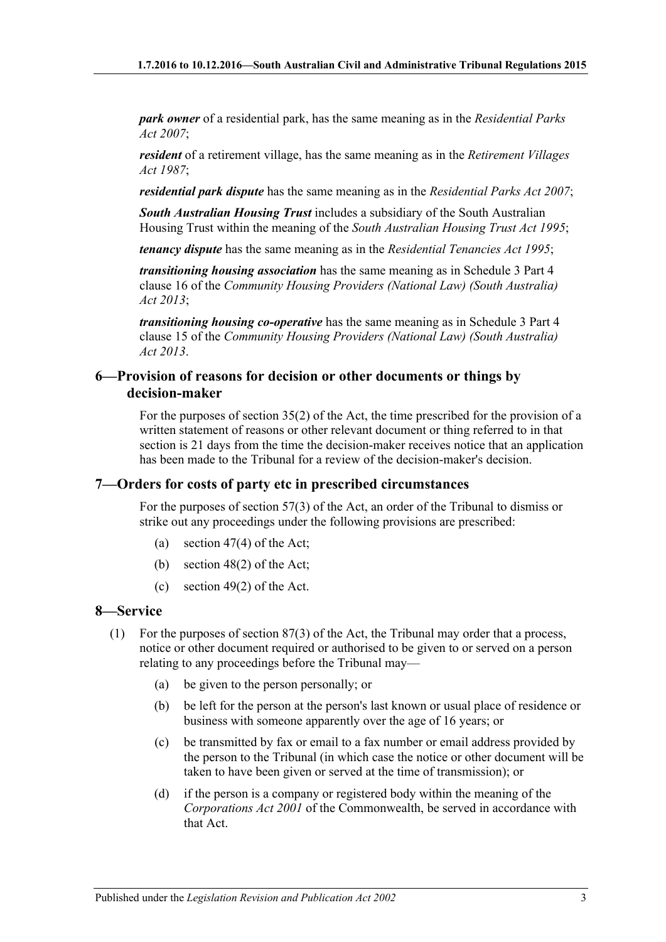*park owner* of a residential park, has the same meaning as in the *[Residential Parks](http://www.legislation.sa.gov.au/index.aspx?action=legref&type=act&legtitle=Residential%20Parks%20Act%202007)  Act [2007](http://www.legislation.sa.gov.au/index.aspx?action=legref&type=act&legtitle=Residential%20Parks%20Act%202007)*;

*resident* of a retirement village, has the same meaning as in the *[Retirement Villages](http://www.legislation.sa.gov.au/index.aspx?action=legref&type=act&legtitle=Retirement%20Villages%20Act%201987)  Act [1987](http://www.legislation.sa.gov.au/index.aspx?action=legref&type=act&legtitle=Retirement%20Villages%20Act%201987)*;

*residential park dispute* has the same meaning as in the *[Residential Parks Act](http://www.legislation.sa.gov.au/index.aspx?action=legref&type=act&legtitle=Residential%20Parks%20Act%202007) 2007*;

*South Australian Housing Trust* includes a subsidiary of the South Australian Housing Trust within the meaning of the *[South Australian Housing Trust Act](http://www.legislation.sa.gov.au/index.aspx?action=legref&type=act&legtitle=South%20Australian%20Housing%20Trust%20Act%201995) 1995*;

*tenancy dispute* has the same meaning as in the *[Residential Tenancies Act](http://www.legislation.sa.gov.au/index.aspx?action=legref&type=act&legtitle=Residential%20Tenancies%20Act%201995) 1995*;

*transitioning housing association* has the same meaning as in Schedule 3 Part 4 clause 16 of the *[Community Housing Providers \(National Law\) \(South Australia\)](http://www.legislation.sa.gov.au/index.aspx?action=legref&type=act&legtitle=Community%20Housing%20Providers%20(National%20Law)%20(South%20Australia)%20Act%202013)  Act [2013](http://www.legislation.sa.gov.au/index.aspx?action=legref&type=act&legtitle=Community%20Housing%20Providers%20(National%20Law)%20(South%20Australia)%20Act%202013)*;

*transitioning housing co-operative* has the same meaning as in Schedule 3 Part 4 clause 15 of the *[Community Housing Providers \(National Law\) \(South Australia\)](http://www.legislation.sa.gov.au/index.aspx?action=legref&type=act&legtitle=Community%20Housing%20Providers%20(National%20Law)%20(South%20Australia)%20Act%202013)  Act [2013](http://www.legislation.sa.gov.au/index.aspx?action=legref&type=act&legtitle=Community%20Housing%20Providers%20(National%20Law)%20(South%20Australia)%20Act%202013)*.

#### <span id="page-2-0"></span>**6—Provision of reasons for decision or other documents or things by decision-maker**

For the purposes of section 35(2) of the Act, the time prescribed for the provision of a written statement of reasons or other relevant document or thing referred to in that section is 21 days from the time the decision-maker receives notice that an application has been made to the Tribunal for a review of the decision-maker's decision.

#### <span id="page-2-1"></span>**7—Orders for costs of party etc in prescribed circumstances**

For the purposes of section 57(3) of the Act, an order of the Tribunal to dismiss or strike out any proceedings under the following provisions are prescribed:

- (a) section 47(4) of the Act;
- (b) section 48(2) of the Act;
- (c) section 49(2) of the Act.

### <span id="page-2-2"></span>**8—Service**

- (1) For the purposes of section 87(3) of the Act, the Tribunal may order that a process, notice or other document required or authorised to be given to or served on a person relating to any proceedings before the Tribunal may—
	- (a) be given to the person personally; or
	- (b) be left for the person at the person's last known or usual place of residence or business with someone apparently over the age of 16 years; or
	- (c) be transmitted by fax or email to a fax number or email address provided by the person to the Tribunal (in which case the notice or other document will be taken to have been given or served at the time of transmission); or
	- (d) if the person is a company or registered body within the meaning of the *Corporations Act 2001* of the Commonwealth, be served in accordance with that Act.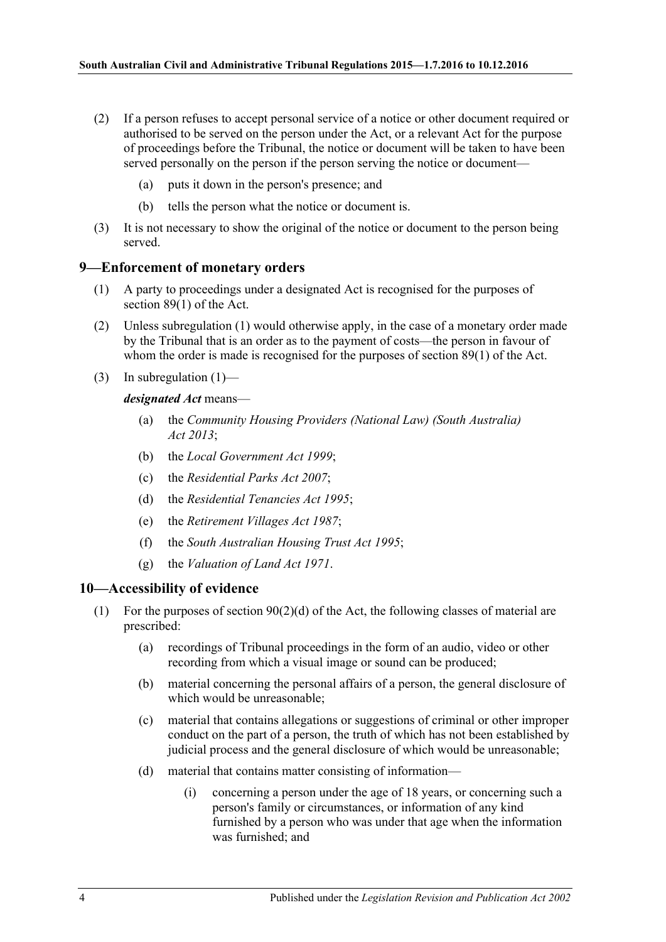- (2) If a person refuses to accept personal service of a notice or other document required or authorised to be served on the person under the Act, or a relevant Act for the purpose of proceedings before the Tribunal, the notice or document will be taken to have been served personally on the person if the person serving the notice or document—
	- (a) puts it down in the person's presence; and
	- (b) tells the person what the notice or document is.
- (3) It is not necessary to show the original of the notice or document to the person being served.

#### <span id="page-3-2"></span><span id="page-3-0"></span>**9—Enforcement of monetary orders**

- (1) A party to proceedings under a designated Act is recognised for the purposes of section 89(1) of the Act.
- (2) Unless [subregulation](#page-3-2) (1) would otherwise apply, in the case of a monetary order made by the Tribunal that is an order as to the payment of costs—the person in favour of whom the order is made is recognised for the purposes of section 89(1) of the Act.
- (3) In [subregulation](#page-3-2)  $(1)$ —

#### *designated Act* means—

- (a) the *[Community Housing Providers \(National Law\) \(South Australia\)](http://www.legislation.sa.gov.au/index.aspx?action=legref&type=act&legtitle=Community%20Housing%20Providers%20(National%20Law)%20(South%20Australia)%20Act%202013)  Act [2013](http://www.legislation.sa.gov.au/index.aspx?action=legref&type=act&legtitle=Community%20Housing%20Providers%20(National%20Law)%20(South%20Australia)%20Act%202013)*;
- (b) the *[Local Government Act](http://www.legislation.sa.gov.au/index.aspx?action=legref&type=act&legtitle=Local%20Government%20Act%201999) 1999*;
- (c) the *[Residential Parks Act](http://www.legislation.sa.gov.au/index.aspx?action=legref&type=act&legtitle=Residential%20Parks%20Act%202007) 2007*;
- (d) the *[Residential Tenancies Act](http://www.legislation.sa.gov.au/index.aspx?action=legref&type=act&legtitle=Residential%20Tenancies%20Act%201995) 1995*;
- (e) the *[Retirement Villages Act](http://www.legislation.sa.gov.au/index.aspx?action=legref&type=act&legtitle=Retirement%20Villages%20Act%201987) 1987*;
- (f) the *[South Australian Housing Trust Act](http://www.legislation.sa.gov.au/index.aspx?action=legref&type=act&legtitle=South%20Australian%20Housing%20Trust%20Act%201995) 1995*;
- (g) the *[Valuation of Land Act](http://www.legislation.sa.gov.au/index.aspx?action=legref&type=act&legtitle=Valuation%20of%20Land%20Act%201971) 1971*.

#### <span id="page-3-1"></span>**10—Accessibility of evidence**

- (1) For the purposes of section  $90(2)(d)$  of the Act, the following classes of material are prescribed:
	- (a) recordings of Tribunal proceedings in the form of an audio, video or other recording from which a visual image or sound can be produced;
	- (b) material concerning the personal affairs of a person, the general disclosure of which would be unreasonable;
	- (c) material that contains allegations or suggestions of criminal or other improper conduct on the part of a person, the truth of which has not been established by judicial process and the general disclosure of which would be unreasonable;
	- (d) material that contains matter consisting of information—
		- (i) concerning a person under the age of 18 years, or concerning such a person's family or circumstances, or information of any kind furnished by a person who was under that age when the information was furnished; and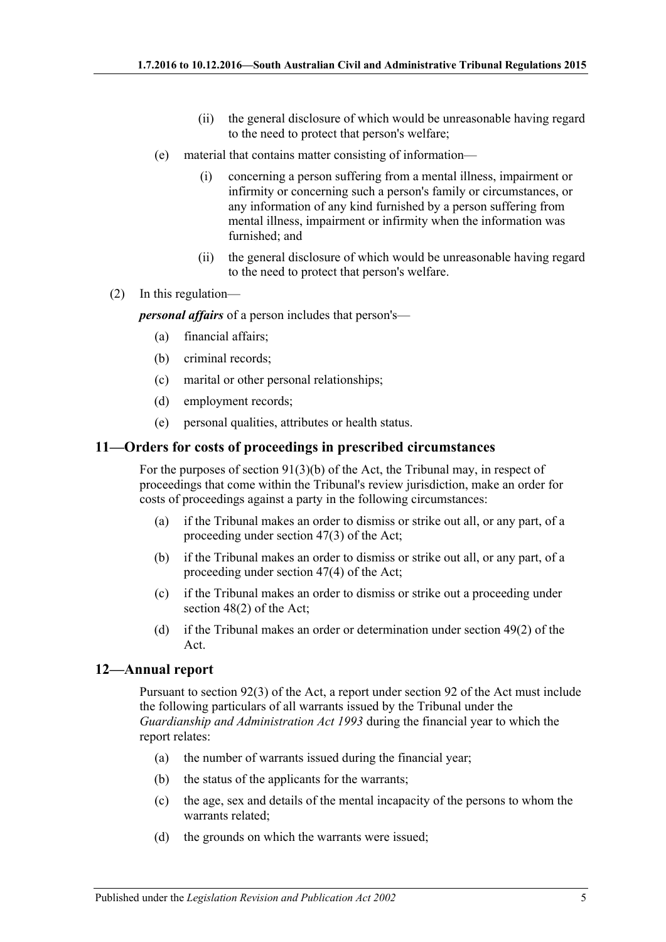- (ii) the general disclosure of which would be unreasonable having regard to the need to protect that person's welfare;
- (e) material that contains matter consisting of information—
	- (i) concerning a person suffering from a mental illness, impairment or infirmity or concerning such a person's family or circumstances, or any information of any kind furnished by a person suffering from mental illness, impairment or infirmity when the information was furnished; and
	- (ii) the general disclosure of which would be unreasonable having regard to the need to protect that person's welfare.
- (2) In this regulation—

*personal affairs* of a person includes that person's—

- (a) financial affairs;
- (b) criminal records;
- (c) marital or other personal relationships;
- (d) employment records;
- (e) personal qualities, attributes or health status.

#### <span id="page-4-0"></span>**11—Orders for costs of proceedings in prescribed circumstances**

For the purposes of section  $91(3)(b)$  of the Act, the Tribunal may, in respect of proceedings that come within the Tribunal's review jurisdiction, make an order for costs of proceedings against a party in the following circumstances:

- (a) if the Tribunal makes an order to dismiss or strike out all, or any part, of a proceeding under section 47(3) of the Act;
- (b) if the Tribunal makes an order to dismiss or strike out all, or any part, of a proceeding under section 47(4) of the Act;
- (c) if the Tribunal makes an order to dismiss or strike out a proceeding under section 48(2) of the Act;
- (d) if the Tribunal makes an order or determination under section 49(2) of the Act.

#### <span id="page-4-1"></span>**12—Annual report**

Pursuant to section 92(3) of the Act, a report under section 92 of the Act must include the following particulars of all warrants issued by the Tribunal under the *[Guardianship and Administration Act](http://www.legislation.sa.gov.au/index.aspx?action=legref&type=act&legtitle=Guardianship%20and%20Administration%20Act%201993) 1993* during the financial year to which the report relates:

- (a) the number of warrants issued during the financial year;
- (b) the status of the applicants for the warrants;
- (c) the age, sex and details of the mental incapacity of the persons to whom the warrants related;
- (d) the grounds on which the warrants were issued;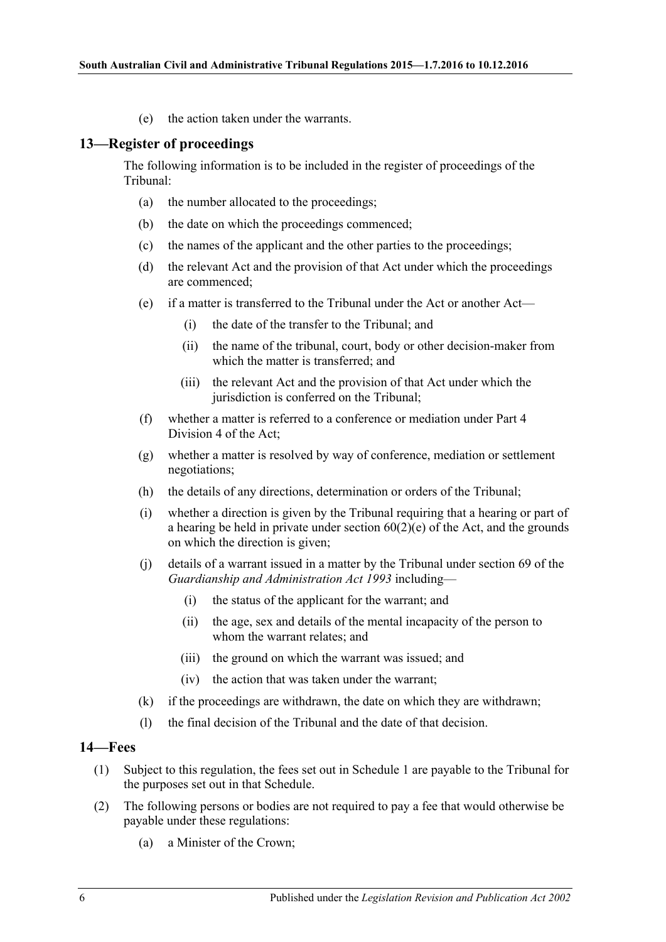(e) the action taken under the warrants.

#### <span id="page-5-0"></span>**13—Register of proceedings**

The following information is to be included in the register of proceedings of the Tribunal:

- (a) the number allocated to the proceedings;
- (b) the date on which the proceedings commenced;
- (c) the names of the applicant and the other parties to the proceedings;
- (d) the relevant Act and the provision of that Act under which the proceedings are commenced;
- (e) if a matter is transferred to the Tribunal under the Act or another Act—
	- (i) the date of the transfer to the Tribunal; and
	- (ii) the name of the tribunal, court, body or other decision-maker from which the matter is transferred; and
	- (iii) the relevant Act and the provision of that Act under which the jurisdiction is conferred on the Tribunal;
- (f) whether a matter is referred to a conference or mediation under Part 4 Division 4 of the Act;
- (g) whether a matter is resolved by way of conference, mediation or settlement negotiations;
- (h) the details of any directions, determination or orders of the Tribunal;
- (i) whether a direction is given by the Tribunal requiring that a hearing or part of a hearing be held in private under section  $60(2)(e)$  of the Act, and the grounds on which the direction is given;
- (j) details of a warrant issued in a matter by the Tribunal under section 69 of the *[Guardianship and Administration Act](http://www.legislation.sa.gov.au/index.aspx?action=legref&type=act&legtitle=Guardianship%20and%20Administration%20Act%201993) 1993* including—
	- (i) the status of the applicant for the warrant; and
	- (ii) the age, sex and details of the mental incapacity of the person to whom the warrant relates; and
	- (iii) the ground on which the warrant was issued; and
	- (iv) the action that was taken under the warrant;
- (k) if the proceedings are withdrawn, the date on which they are withdrawn;
- (l) the final decision of the Tribunal and the date of that decision.

#### <span id="page-5-1"></span>**14—Fees**

- (1) Subject to this regulation, the fees set out in Schedule 1 are payable to the Tribunal for the purposes set out in that Schedule.
- (2) The following persons or bodies are not required to pay a fee that would otherwise be payable under these regulations:
	- (a) a Minister of the Crown;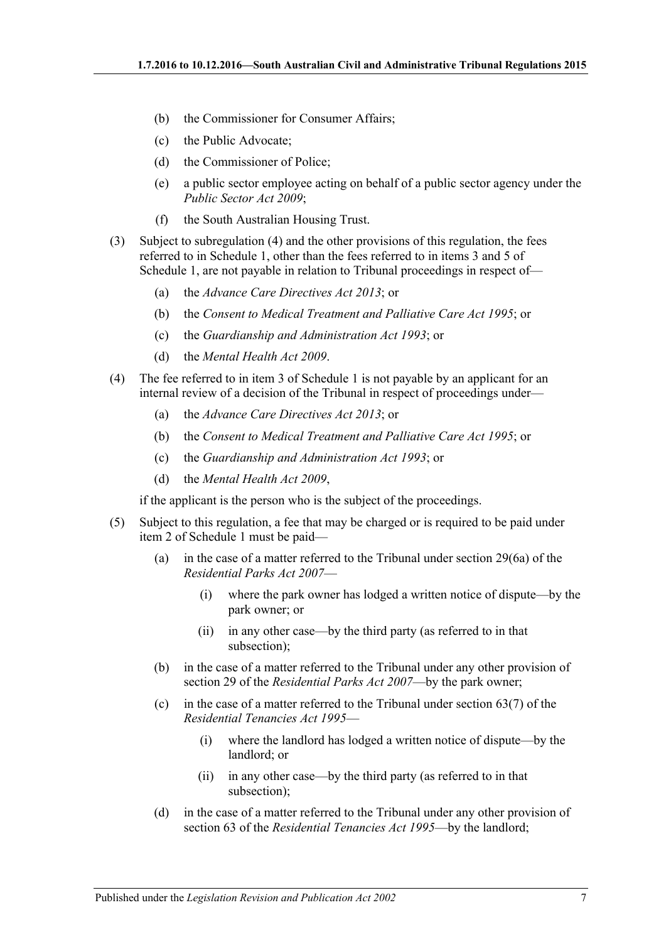- (b) the Commissioner for Consumer Affairs;
- (c) the Public Advocate;
- (d) the Commissioner of Police;
- (e) a public sector employee acting on behalf of a public sector agency under the *[Public Sector Act](http://www.legislation.sa.gov.au/index.aspx?action=legref&type=act&legtitle=Public%20Sector%20Act%202009) 2009*;
- (f) the South Australian Housing Trust.
- (3) Subject to [subregulation](#page-6-0) (4) and the other provisions of this regulation, the fees referred to in Schedule 1, other than the fees referred to in items 3 and 5 of Schedule 1, are not payable in relation to Tribunal proceedings in respect of—
	- (a) the *[Advance Care Directives Act](http://www.legislation.sa.gov.au/index.aspx?action=legref&type=act&legtitle=Advance%20Care%20Directives%20Act%202013) 2013*; or
	- (b) the *[Consent to Medical Treatment and Palliative Care Act](http://www.legislation.sa.gov.au/index.aspx?action=legref&type=act&legtitle=Consent%20to%20Medical%20Treatment%20and%20Palliative%20Care%20Act%201995) 1995*; or
	- (c) the *[Guardianship and Administration Act](http://www.legislation.sa.gov.au/index.aspx?action=legref&type=act&legtitle=Guardianship%20and%20Administration%20Act%201993) 1993*; or
	- (d) the *[Mental Health Act](http://www.legislation.sa.gov.au/index.aspx?action=legref&type=act&legtitle=Mental%20Health%20Act%202009) 2009*.
- <span id="page-6-0"></span>(4) The fee referred to in item 3 of Schedule 1 is not payable by an applicant for an internal review of a decision of the Tribunal in respect of proceedings under—
	- (a) the *[Advance Care Directives Act](http://www.legislation.sa.gov.au/index.aspx?action=legref&type=act&legtitle=Advance%20Care%20Directives%20Act%202013) 2013*; or
	- (b) the *[Consent to Medical Treatment and Palliative Care Act](http://www.legislation.sa.gov.au/index.aspx?action=legref&type=act&legtitle=Consent%20to%20Medical%20Treatment%20and%20Palliative%20Care%20Act%201995) 1995*; or
	- (c) the *[Guardianship and Administration Act](http://www.legislation.sa.gov.au/index.aspx?action=legref&type=act&legtitle=Guardianship%20and%20Administration%20Act%201993) 1993*; or
	- (d) the *[Mental Health Act](http://www.legislation.sa.gov.au/index.aspx?action=legref&type=act&legtitle=Mental%20Health%20Act%202009) 2009*,

if the applicant is the person who is the subject of the proceedings.

- (5) Subject to this regulation, a fee that may be charged or is required to be paid under item 2 of Schedule 1 must be paid—
	- (a) in the case of a matter referred to the Tribunal under section 29(6a) of the *[Residential Parks Act](http://www.legislation.sa.gov.au/index.aspx?action=legref&type=act&legtitle=Residential%20Parks%20Act%202007) 2007*—
		- (i) where the park owner has lodged a written notice of dispute—by the park owner; or
		- (ii) in any other case—by the third party (as referred to in that subsection);
	- (b) in the case of a matter referred to the Tribunal under any other provision of section 29 of the *[Residential Parks Act](http://www.legislation.sa.gov.au/index.aspx?action=legref&type=act&legtitle=Residential%20Parks%20Act%202007) 2007*—by the park owner;
	- (c) in the case of a matter referred to the Tribunal under section  $63(7)$  of the *[Residential Tenancies Act](http://www.legislation.sa.gov.au/index.aspx?action=legref&type=act&legtitle=Residential%20Tenancies%20Act%201995) 1995*—
		- (i) where the landlord has lodged a written notice of dispute—by the landlord; or
		- (ii) in any other case—by the third party (as referred to in that subsection);
	- (d) in the case of a matter referred to the Tribunal under any other provision of section 63 of the *[Residential Tenancies Act](http://www.legislation.sa.gov.au/index.aspx?action=legref&type=act&legtitle=Residential%20Tenancies%20Act%201995) 1995*—by the landlord;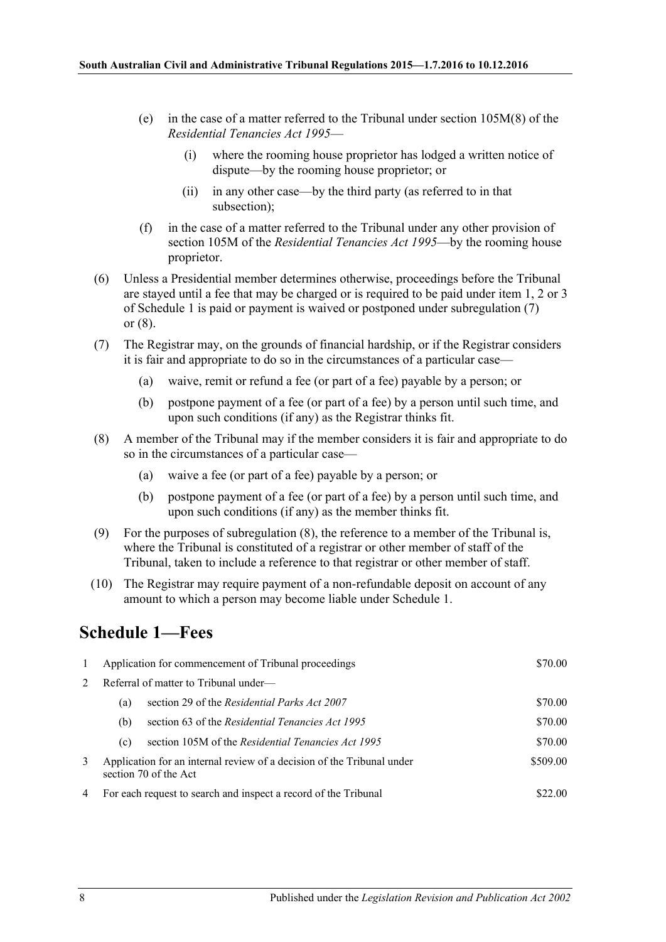- (e) in the case of a matter referred to the Tribunal under section 105M(8) of the *[Residential Tenancies Act](http://www.legislation.sa.gov.au/index.aspx?action=legref&type=act&legtitle=Residential%20Tenancies%20Act%201995) 1995*—
	- (i) where the rooming house proprietor has lodged a written notice of dispute—by the rooming house proprietor; or
	- (ii) in any other case—by the third party (as referred to in that subsection);
- (f) in the case of a matter referred to the Tribunal under any other provision of section 105M of the *[Residential Tenancies Act](http://www.legislation.sa.gov.au/index.aspx?action=legref&type=act&legtitle=Residential%20Tenancies%20Act%201995) 1995*—by the rooming house proprietor.
- (6) Unless a Presidential member determines otherwise, proceedings before the Tribunal are stayed until a fee that may be charged or is required to be paid under item 1, 2 or 3 of Schedule 1 is paid or payment is waived or postponed under [subregulation](#page-7-1) (7) or [\(8\).](#page-7-2)
- <span id="page-7-1"></span>(7) The Registrar may, on the grounds of financial hardship, or if the Registrar considers it is fair and appropriate to do so in the circumstances of a particular case—
	- (a) waive, remit or refund a fee (or part of a fee) payable by a person; or
	- (b) postpone payment of a fee (or part of a fee) by a person until such time, and upon such conditions (if any) as the Registrar thinks fit.
- <span id="page-7-2"></span>(8) A member of the Tribunal may if the member considers it is fair and appropriate to do so in the circumstances of a particular case—
	- (a) waive a fee (or part of a fee) payable by a person; or
	- (b) postpone payment of a fee (or part of a fee) by a person until such time, and upon such conditions (if any) as the member thinks fit.
- (9) For the purposes of [subregulation](#page-7-2) (8), the reference to a member of the Tribunal is, where the Tribunal is constituted of a registrar or other member of staff of the Tribunal, taken to include a reference to that registrar or other member of staff.
- (10) The Registrar may require payment of a non-refundable deposit on account of any amount to which a person may become liable under Schedule 1.

# <span id="page-7-0"></span>**Schedule 1—Fees**

| $\mathbf{1}$   | Application for commencement of Tribunal proceedings                                            |                                                    | \$70.00  |
|----------------|-------------------------------------------------------------------------------------------------|----------------------------------------------------|----------|
| $2^{\circ}$    | Referral of matter to Tribunal under—                                                           |                                                    |          |
|                | (a)                                                                                             | section 29 of the Residential Parks Act 2007       | \$70.00  |
|                | (b)                                                                                             | section 63 of the Residential Tenancies Act 1995   | \$70.00  |
|                | (c)                                                                                             | section 105M of the Residential Tenancies Act 1995 | \$70.00  |
| 3              | Application for an internal review of a decision of the Tribunal under<br>section 70 of the Act |                                                    | \$509.00 |
| $\overline{4}$ | For each request to search and inspect a record of the Tribunal                                 |                                                    | \$22.00  |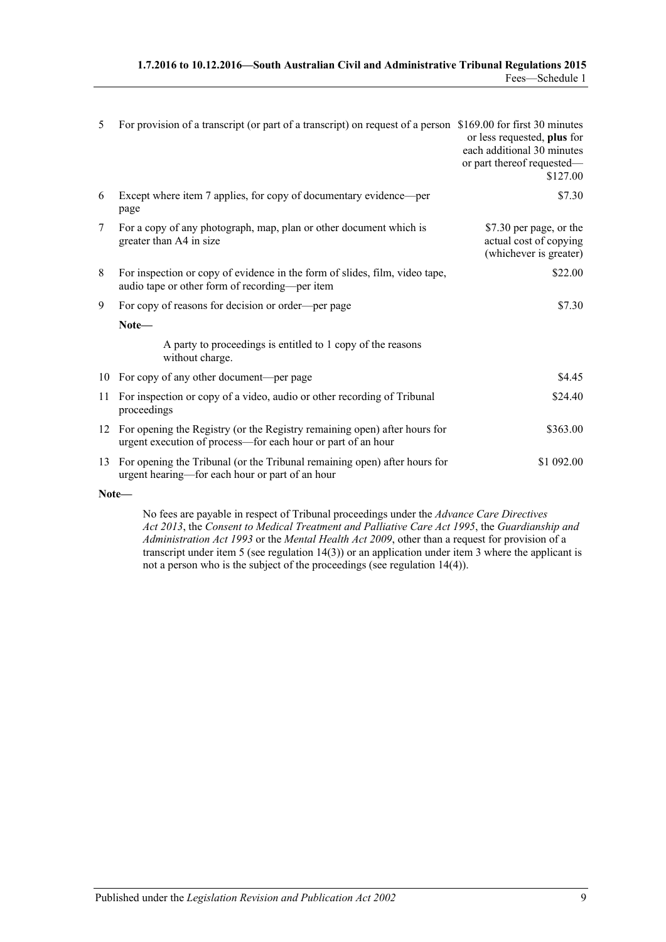| 1.7.2016 to 10.12.2016—South Australian Civil and Administrative Tribunal Regulations 2015 |                 |
|--------------------------------------------------------------------------------------------|-----------------|
|                                                                                            | Fees—Schedule 1 |

| 5  | For provision of a transcript (or part of a transcript) on request of a person \$169.00 for first 30 minutes                                 | or less requested, plus for<br>each additional 30 minutes<br>or part thereof requested-<br>\$127.00 |
|----|----------------------------------------------------------------------------------------------------------------------------------------------|-----------------------------------------------------------------------------------------------------|
| 6  | Except where item 7 applies, for copy of documentary evidence—per<br>page                                                                    | \$7.30                                                                                              |
| 7  | For a copy of any photograph, map, plan or other document which is<br>greater than A4 in size                                                | \$7.30 per page, or the<br>actual cost of copying<br>(whichever is greater)                         |
| 8  | For inspection or copy of evidence in the form of slides, film, video tape,<br>audio tape or other form of recording-per item                | \$22.00                                                                                             |
| 9  | For copy of reasons for decision or order—per page                                                                                           | \$7.30                                                                                              |
|    | Note-                                                                                                                                        |                                                                                                     |
|    | A party to proceedings is entitled to 1 copy of the reasons<br>without charge.                                                               |                                                                                                     |
|    | 10 For copy of any other document-per page                                                                                                   | \$4.45                                                                                              |
| 11 | For inspection or copy of a video, audio or other recording of Tribunal<br>proceedings                                                       | \$24.40                                                                                             |
|    | 12 For opening the Registry (or the Registry remaining open) after hours for<br>urgent execution of process-for each hour or part of an hour | \$363.00                                                                                            |
|    | 13 For opening the Tribunal (or the Tribunal remaining open) after hours for<br>urgent hearing—for each hour or part of an hour              | \$1 092.00                                                                                          |

**Note—**

No fees are payable in respect of Tribunal proceedings under the *[Advance Care Directives](http://www.legislation.sa.gov.au/index.aspx?action=legref&type=act&legtitle=Advance%20Care%20Directives%20Act%202013)  Act [2013](http://www.legislation.sa.gov.au/index.aspx?action=legref&type=act&legtitle=Advance%20Care%20Directives%20Act%202013)*, the *[Consent to Medical Treatment and Palliative Care Act](http://www.legislation.sa.gov.au/index.aspx?action=legref&type=act&legtitle=Consent%20to%20Medical%20Treatment%20and%20Palliative%20Care%20Act%201995) 1995*, the *[Guardianship and](http://www.legislation.sa.gov.au/index.aspx?action=legref&type=act&legtitle=Guardianship%20and%20Administration%20Act%201993)  [Administration Act](http://www.legislation.sa.gov.au/index.aspx?action=legref&type=act&legtitle=Guardianship%20and%20Administration%20Act%201993) 1993* or the *[Mental Health Act](http://www.legislation.sa.gov.au/index.aspx?action=legref&type=act&legtitle=Mental%20Health%20Act%202009) 2009*, other than a request for provision of a transcript under item 5 (see regulation 14(3)) or an application under item 3 where the applicant is not a person who is the subject of the proceedings (see regulation  $14(4)$ ).